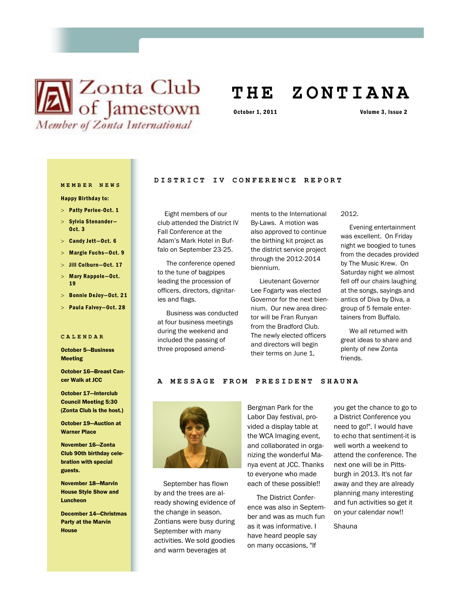# **X** Club of Jamestown Member of Zonta International

# **T H E Z O N T I A N A**

October 1, 2011 Volume 3, Issue 2

# **MEMBER NEWS**

Happy Birthday to:

- > Patty Perlee-Oct. 1
- $>$  Sylvia Stenander-Oct. 3
- $>$  Candy Jett-Oct. 6
- Margie Fuchs—Oct. 9
- Jill Colburn—Oct. 17
- $>$  Mary Rappole-Oct. 19
- Bonnie DeJoy—Oct. 21
- Paula Falvey—Oct. 28

#### **CALENDAR**

October 5—Business Meeting

October 16—Breast Cancer Walk at JCC

October 17—Interclub Council Meeting 5:30 (Zonta Club is the host.)

October 19—Auction at Warner Place

November 16—Zonta Club 90th birthday celebration with special guests.

November 18—Marvin House Style Show and Luncheon

December 14—Christmas Party at the Marvin House

# **DISTRICT IV CONFERENCE REPORT**

 Eight members of our club attended the District IV Fall Conference at the Adam's Mark Hotel in Buffalo on September 23-25.

 The conference opened to the tune of bagpipes leading the procession of officers, directors, dignitaries and flags.

 Business was conducted at four business meetings during the weekend and included the passing of three proposed amendments to the International By-Laws. A motion was also approved to continue the birthing kit project as the district service project through the 2012-2014 biennium.

 Lieutenant Governor Lee Fogarty was elected Governor for the next biennium. Our new area director will be Fran Runyan from the Bradford Club. The newly elected officers and directors will begin their terms on June 1,

#### 2012.

 Evening entertainment was excellent. On Friday night we boogied to tunes from the decades provided by The Music Krew. On Saturday night we almost fell off our chairs laughing at the songs, sayings and antics of Diva by Diva, a group of 5 female entertainers from Buffalo.

 We all returned with great ideas to share and plenty of new Zonta friends.

#### A MESSAGE FROM PRESIDENT SHAUNA



 September has flown by and the trees are already showing evidence of the change in season. Zontians were busy during September with many activities. We sold goodies and warm beverages at

Bergman Park for the Labor Day festival, provided a display table at the WCA Imaging event, and collaborated in organizing the wonderful Manya event at JCC. Thanks to everyone who made each of these possible!!

 The District Conference was also in September and was as much fun as it was informative. I have heard people say on many occasions, "If

you get the chance to go to a District Conference you need to go!". I would have to echo that sentiment-it is well worth a weekend to attend the conference. The next one will be in Pittsburgh in 2013. It's not far away and they are already planning many interesting and fun activities so get it on your calendar now!!

Shauna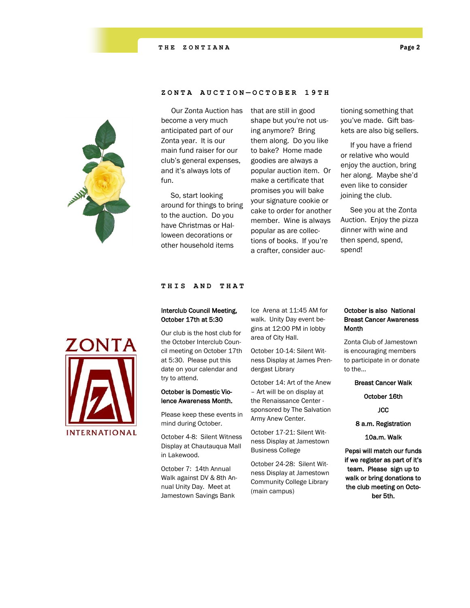

# **ZONTA AUCTION — OCTOBE R 1 9 T H**

 Our Zonta Auction has become a very much anticipated part of our Zonta year. It is our main fund raiser for our club's general expenses, and it's always lots of fun.

 So, start looking around for things to bring to the auction. Do you have Christmas or Halloween decorations or other household items

that are still in good shape but you're not using anymore? Bring them along. Do you like to bake? Home made goodies are always a popular auction item. Or make a certificate that promises you will bake your signature cookie or cake to order for another member. Wine is always popular as are collections of books. If you're a crafter, consider auc-

tioning something that you've made. Gift baskets are also big sellers.

 If you have a friend or relative who would enjoy the auction, bring her along. Maybe she'd even like to consider joining the club.

 See you at the Zonta Auction. Enjoy the pizza dinner with wine and then spend, spend, spend!



# **THIS AND THAT**

# Interclub Council Meeting, October 17th at 5:30

Our club is the host club for the October Interclub Council meeting on October 17th at 5:30. Please put this date on your calendar and try to attend.

# October is Domestic Violence Awareness Month.

Please keep these events in mind during October.

October 4-8: Silent Witness Display at Chautauqua Mall in Lakewood.

October 7: 14th Annual Walk against DV & 8th Annual Unity Day. Meet at Jamestown Savings Bank

Ice Arena at 11:45 AM for walk. Unity Day event begins at 12:00 PM in lobby area of City Hall.

October 10-14: Silent Witness Display at James Prendergast Library

October 14: Art of the Anew – Art will be on display at the Renaissance Center sponsored by The Salvation Army Anew Center.

October 17-21: Silent Witness Display at Jamestown Business College

October 24-28: Silent Witness Display at Jamestown Community College Library (main campus)

# October is also National Breast Cancer Awareness Month

Zonta Club of Jamestown is encouraging members to participate in or donate to the…

Breast Cancer Walk

October 16th

**JCC** 

## 8 a.m. Registration

10a.m. Walk

Pepsi will match our funds if we register as part of it's team. Please sign up to walk or bring donations to the club meeting on October 5th.